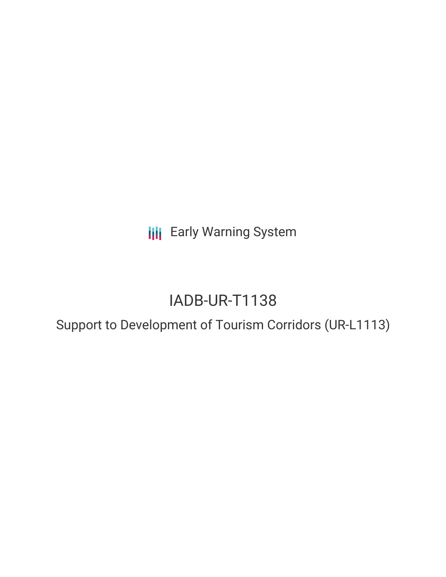**III** Early Warning System

# IADB-UR-T1138

## Support to Development of Tourism Corridors (UR-L1113)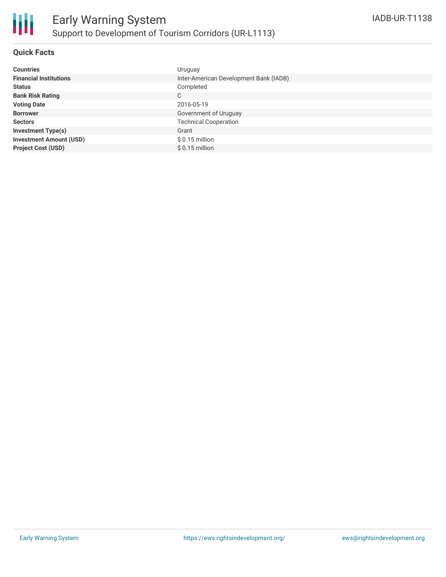#### **Quick Facts**

| <b>Countries</b>               | Uruguay                                |
|--------------------------------|----------------------------------------|
| <b>Financial Institutions</b>  | Inter-American Development Bank (IADB) |
| <b>Status</b>                  | Completed                              |
| <b>Bank Risk Rating</b>        | C                                      |
| <b>Voting Date</b>             | 2016-05-19                             |
| <b>Borrower</b>                | Government of Uruguay                  |
| <b>Sectors</b>                 | <b>Technical Cooperation</b>           |
| <b>Investment Type(s)</b>      | Grant                                  |
| <b>Investment Amount (USD)</b> | $$0.15$ million                        |
| <b>Project Cost (USD)</b>      | $$0.15$ million                        |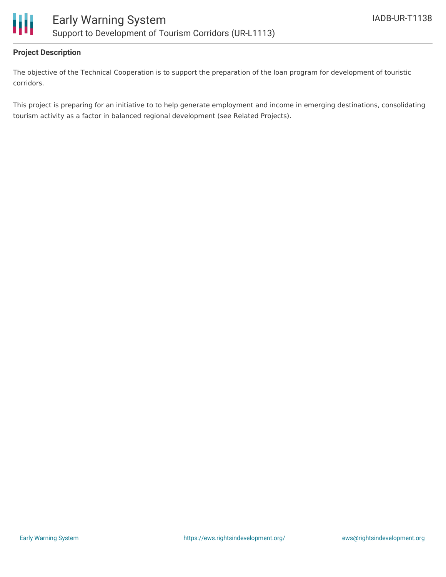

#### **Project Description**

The objective of the Technical Cooperation is to support the preparation of the loan program for development of touristic corridors.

This project is preparing for an initiative to to help generate employment and income in emerging destinations, consolidating tourism activity as a factor in balanced regional development (see Related Projects).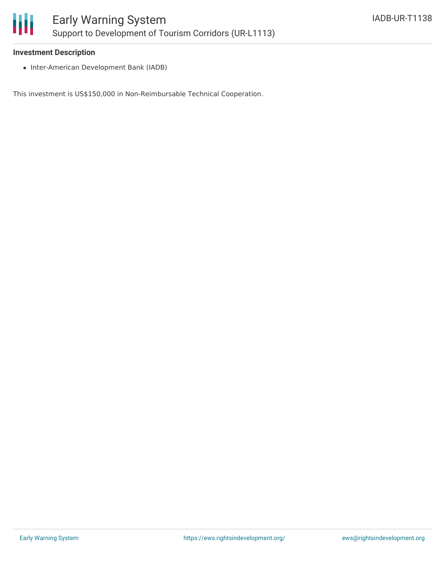

#### **Investment Description**

• Inter-American Development Bank (IADB)

This investment is US\$150,000 in Non-Reimbursable Technical Cooperation.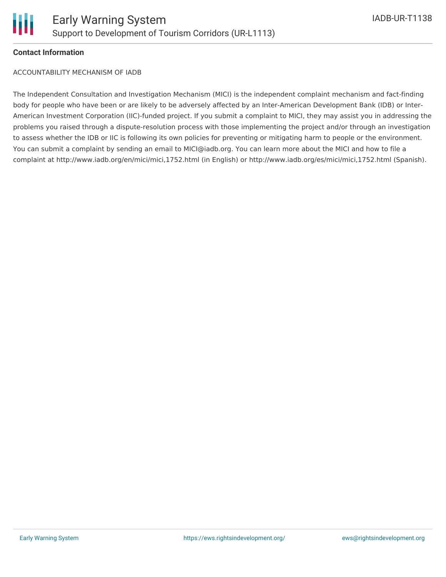

#### **Contact Information**

ACCOUNTABILITY MECHANISM OF IADB

The Independent Consultation and Investigation Mechanism (MICI) is the independent complaint mechanism and fact-finding body for people who have been or are likely to be adversely affected by an Inter-American Development Bank (IDB) or Inter-American Investment Corporation (IIC)-funded project. If you submit a complaint to MICI, they may assist you in addressing the problems you raised through a dispute-resolution process with those implementing the project and/or through an investigation to assess whether the IDB or IIC is following its own policies for preventing or mitigating harm to people or the environment. You can submit a complaint by sending an email to MICI@iadb.org. You can learn more about the MICI and how to file a complaint at http://www.iadb.org/en/mici/mici,1752.html (in English) or http://www.iadb.org/es/mici/mici,1752.html (Spanish).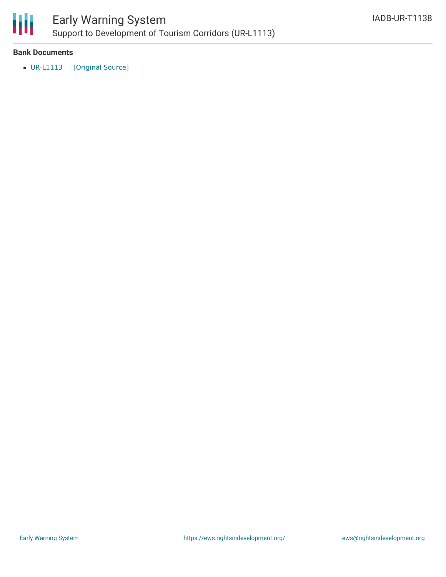

### Early Warning System Support to Development of Tourism Corridors (UR-L1113)

#### **Bank Documents**

[UR-L1113](https://ewsdata.rightsindevelopment.org/files/documents/38/IADB-UR-T1138.pdf) [\[Original](http://www.iadb.org/Document.cfm?id=40324052) Source]